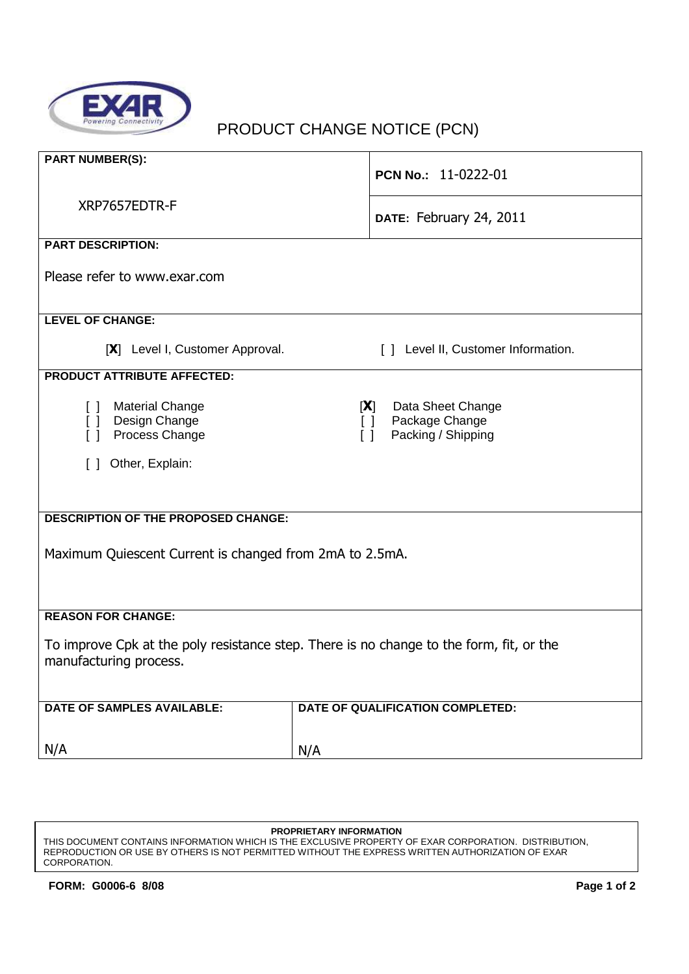

## PRODUCT CHANGE NOTICE (PCN)

| <b>PART NUMBER(S):</b>                                                                                            | PCN No.: 11-0222-01                                                              |  |
|-------------------------------------------------------------------------------------------------------------------|----------------------------------------------------------------------------------|--|
| XRP7657EDTR-F                                                                                                     | DATE: February 24, 2011                                                          |  |
| <b>PART DESCRIPTION:</b>                                                                                          |                                                                                  |  |
| Please refer to www.exar.com                                                                                      |                                                                                  |  |
| <b>LEVEL OF CHANGE:</b>                                                                                           |                                                                                  |  |
| [X] Level I, Customer Approval.                                                                                   | [ ] Level II, Customer Information.                                              |  |
| <b>PRODUCT ATTRIBUTE AFFECTED:</b>                                                                                |                                                                                  |  |
| <b>Material Change</b><br>U<br>Design Change<br>$\Box$<br>Process Change<br>$\Box$                                | [X]<br>Data Sheet Change<br>Package Change<br>$\Box$<br>Packing / Shipping<br>ΙI |  |
| Other, Explain:<br>$\Box$                                                                                         |                                                                                  |  |
|                                                                                                                   |                                                                                  |  |
| <b>DESCRIPTION OF THE PROPOSED CHANGE:</b>                                                                        |                                                                                  |  |
|                                                                                                                   |                                                                                  |  |
| Maximum Quiescent Current is changed from 2mA to 2.5mA.                                                           |                                                                                  |  |
| <b>REASON FOR CHANGE:</b>                                                                                         |                                                                                  |  |
|                                                                                                                   |                                                                                  |  |
| To improve Cpk at the poly resistance step. There is no change to the form, fit, or the<br>manufacturing process. |                                                                                  |  |
| <b>DATE OF SAMPLES AVAILABLE:</b>                                                                                 | <b>DATE OF QUALIFICATION COMPLETED:</b>                                          |  |
|                                                                                                                   |                                                                                  |  |
| N/A                                                                                                               | N/A                                                                              |  |

## **PROPRIETARY INFORMATION**

THIS DOCUMENT CONTAINS INFORMATION WHICH IS THE EXCLUSIVE PROPERTY OF EXAR CORPORATION. DISTRIBUTION, REPRODUCTION OR USE BY OTHERS IS NOT PERMITTED WITHOUT THE EXPRESS WRITTEN AUTHORIZATION OF EXAR CORPORATION.